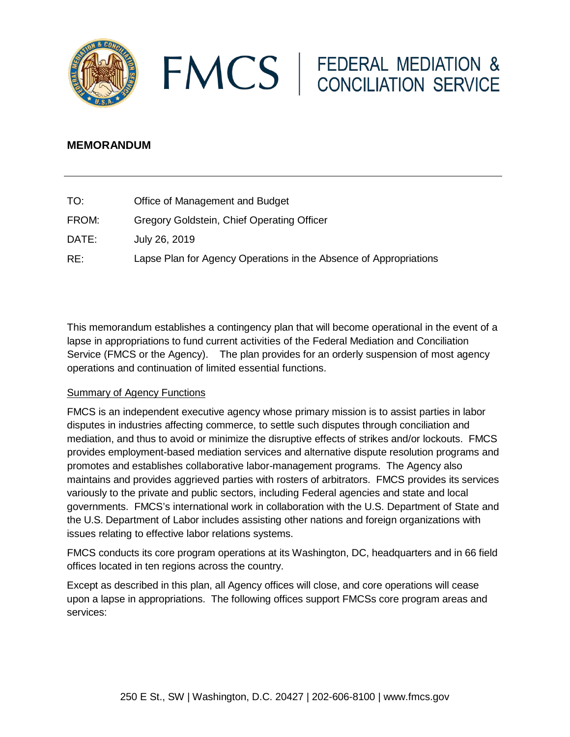



# **MEMORANDUM**

| TO:   | Office of Management and Budget                                   |
|-------|-------------------------------------------------------------------|
| FROM: | Gregory Goldstein, Chief Operating Officer                        |
| DATE: | July 26, 2019                                                     |
| RE:   | Lapse Plan for Agency Operations in the Absence of Appropriations |

This memorandum establishes a contingency plan that will become operational in the event of a lapse in appropriations to fund current activities of the Federal Mediation and Conciliation Service (FMCS or the Agency). The plan provides for an orderly suspension of most agency operations and continuation of limited essential functions.

### Summary of Agency Functions

FMCS is an independent executive agency whose primary mission is to assist parties in labor disputes in industries affecting commerce, to settle such disputes through conciliation and mediation, and thus to avoid or minimize the disruptive effects of strikes and/or lockouts. FMCS provides employment-based mediation services and alternative dispute resolution programs and promotes and establishes collaborative labor-management programs. The Agency also maintains and provides aggrieved parties with rosters of arbitrators. FMCS provides its services variously to the private and public sectors, including Federal agencies and state and local governments. FMCS's international work in collaboration with the U.S. Department of State and the U.S. Department of Labor includes assisting other nations and foreign organizations with issues relating to effective labor relations systems.

FMCS conducts its core program operations at its Washington, DC, headquarters and in 66 field offices located in ten regions across the country.

Except as described in this plan, all Agency offices will close, and core operations will cease upon a lapse in appropriations. The following offices support FMCSs core program areas and services: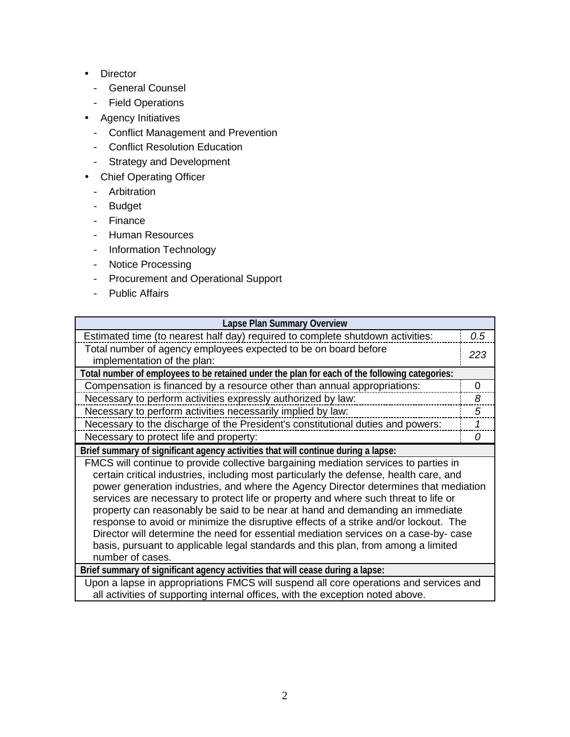- . Director
	- General Counsel
	- Field Operations
- Agency Initiatives
	- Conflict Management and Prevention
	- Conflict Resolution Education
	- Strategy and Development
- Chief Operating Officer
	- Arbitration
	- Budget
	- Finance
	- Human Resources
	- Information Technology
	- Notice Processing
	- Procurement and Operational Support
	- Public Affairs

| Lapse Plan Summary Overview                                                                                                                                                                                                                                                                                                                                                                                                                                                                                                                                                                                                                                                                                                             |          |  |
|-----------------------------------------------------------------------------------------------------------------------------------------------------------------------------------------------------------------------------------------------------------------------------------------------------------------------------------------------------------------------------------------------------------------------------------------------------------------------------------------------------------------------------------------------------------------------------------------------------------------------------------------------------------------------------------------------------------------------------------------|----------|--|
| Estimated time (to nearest half day) required to complete shutdown activities:                                                                                                                                                                                                                                                                                                                                                                                                                                                                                                                                                                                                                                                          |          |  |
| Total number of agency employees expected to be on board before<br>implementation of the plan:                                                                                                                                                                                                                                                                                                                                                                                                                                                                                                                                                                                                                                          |          |  |
| Total number of employees to be retained under the plan for each of the following categories:                                                                                                                                                                                                                                                                                                                                                                                                                                                                                                                                                                                                                                           |          |  |
| Compensation is financed by a resource other than annual appropriations:                                                                                                                                                                                                                                                                                                                                                                                                                                                                                                                                                                                                                                                                | $\Omega$ |  |
| Necessary to perform activities expressly authorized by law:                                                                                                                                                                                                                                                                                                                                                                                                                                                                                                                                                                                                                                                                            | 8        |  |
| Necessary to perform activities necessarily implied by law:                                                                                                                                                                                                                                                                                                                                                                                                                                                                                                                                                                                                                                                                             | 5        |  |
| Necessary to the discharge of the President's constitutional duties and powers:                                                                                                                                                                                                                                                                                                                                                                                                                                                                                                                                                                                                                                                         | 1        |  |
| Necessary to protect life and property:                                                                                                                                                                                                                                                                                                                                                                                                                                                                                                                                                                                                                                                                                                 | 0        |  |
| Brief summary of significant agency activities that will continue during a lapse:                                                                                                                                                                                                                                                                                                                                                                                                                                                                                                                                                                                                                                                       |          |  |
| FMCS will continue to provide collective bargaining mediation services to parties in<br>certain critical industries, including most particularly the defense, health care, and<br>power generation industries, and where the Agency Director determines that mediation<br>services are necessary to protect life or property and where such threat to life or<br>property can reasonably be said to be near at hand and demanding an immediate<br>response to avoid or minimize the disruptive effects of a strike and/or lockout. The<br>Director will determine the need for essential mediation services on a case-by- case<br>basis, pursuant to applicable legal standards and this plan, from among a limited<br>number of cases. |          |  |
| Brief summary of significant agency activities that will cease during a lapse:                                                                                                                                                                                                                                                                                                                                                                                                                                                                                                                                                                                                                                                          |          |  |
| Upon a lapse in appropriations FMCS will suspend all core operations and services and<br>all activities of supporting internal offices, with the exception noted above.                                                                                                                                                                                                                                                                                                                                                                                                                                                                                                                                                                 |          |  |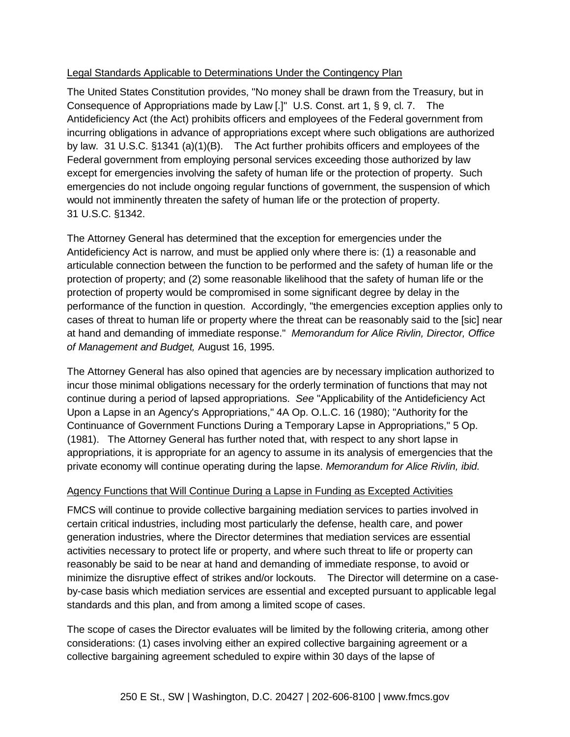# Legal Standards Applicable to Determinations Under the Contingency Plan

The United States Constitution provides, "No money shall be drawn from the Treasury, but in Consequence of Appropriations made by Law [.]" U.S. Const. art 1, § 9, cl. 7. The Antideficiency Act (the Act) prohibits officers and employees of the Federal government from incurring obligations in advance of appropriations except where such obligations are authorized by law. 31 U.S.C. §1341 (a)(1)(B). The Act further prohibits officers and employees of the Federal government from employing personal services exceeding those authorized by law except for emergencies involving the safety of human life or the protection of property. Such emergencies do not include ongoing regular functions of government, the suspension of which would not imminently threaten the safety of human life or the protection of property. 31 U.S.C. §1342.

The Attorney General has determined that the exception for emergencies under the Antideficiency Act is narrow, and must be applied only where there is: (1) a reasonable and articulable connection between the function to be performed and the safety of human life or the protection of property; and (2) some reasonable likelihood that the safety of human life or the protection of property would be compromised in some significant degree by delay in the performance of the function in question. Accordingly, "the emergencies exception applies only to cases of threat to human life or property where the threat can be reasonably said to the [sic] near at hand and demanding of immediate response." *Memorandum for Alice Rivlin, Director, Office of Management and Budget,* August 16, 1995.

The Attorney General has also opined that agencies are by necessary implication authorized to incur those minimal obligations necessary for the orderly termination of functions that may not continue during a period of lapsed appropriations. *See* "Applicability of the Antideficiency Act Upon a Lapse in an Agency's Appropriations," 4A Op. O.L.C. 16 (1980); "Authority for the Continuance of Government Functions During a Temporary Lapse in Appropriations," 5 Op. (1981). The Attorney General has further noted that, with respect to any short lapse in appropriations, it is appropriate for an agency to assume in its analysis of emergencies that the private economy will continue operating during the lapse. *Memorandum for Alice Rivlin, ibid.*

### Agency Functions that Will Continue During a Lapse in Funding as Excepted Activities

FMCS will continue to provide collective bargaining mediation services to parties involved in certain critical industries, including most particularly the defense, health care, and power generation industries, where the Director determines that mediation services are essential activities necessary to protect life or property, and where such threat to life or property can reasonably be said to be near at hand and demanding of immediate response, to avoid or minimize the disruptive effect of strikes and/or lockouts. The Director will determine on a caseby-case basis which mediation services are essential and excepted pursuant to applicable legal standards and this plan, and from among a limited scope of cases.

The scope of cases the Director evaluates will be limited by the following criteria, among other considerations: (1) cases involving either an expired collective bargaining agreement or a collective bargaining agreement scheduled to expire within 30 days of the lapse of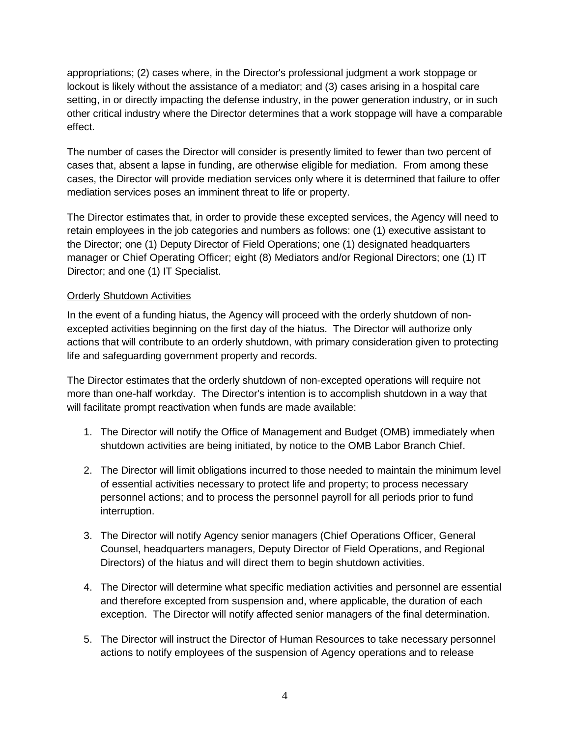appropriations; (2) cases where, in the Director's professional judgment a work stoppage or lockout is likely without the assistance of a mediator; and (3) cases arising in a hospital care setting, in or directly impacting the defense industry, in the power generation industry, or in such other critical industry where the Director determines that a work stoppage will have a comparable effect.

The number of cases the Director will consider is presently limited to fewer than two percent of cases that, absent a lapse in funding, are otherwise eligible for mediation. From among these cases, the Director will provide mediation services only where it is determined that failure to offer mediation services poses an imminent threat to life or property.

The Director estimates that, in order to provide these excepted services, the Agency will need to retain employees in the job categories and numbers as follows: one (1) executive assistant to the Director; one (1) Deputy Director of Field Operations; one (1) designated headquarters manager or Chief Operating Officer; eight (8) Mediators and/or Regional Directors; one (1) IT Director; and one (1) IT Specialist.

## Orderly Shutdown Activities

In the event of a funding hiatus, the Agency will proceed with the orderly shutdown of nonexcepted activities beginning on the first day of the hiatus. The Director will authorize only actions that will contribute to an orderly shutdown, with primary consideration given to protecting life and safeguarding government property and records.

The Director estimates that the orderly shutdown of non-excepted operations will require not more than one-half workday. The Director's intention is to accomplish shutdown in a way that will facilitate prompt reactivation when funds are made available:

- 1. The Director will notify the Office of Management and Budget (OMB) immediately when shutdown activities are being initiated, by notice to the OMB Labor Branch Chief.
- 2. The Director will limit obligations incurred to those needed to maintain the minimum level of essential activities necessary to protect life and property; to process necessary personnel actions; and to process the personnel payroll for all periods prior to fund interruption.
- 3. The Director will notify Agency senior managers (Chief Operations Officer, General Counsel, headquarters managers, Deputy Director of Field Operations, and Regional Directors) of the hiatus and will direct them to begin shutdown activities.
- 4. The Director will determine what specific mediation activities and personnel are essential and therefore excepted from suspension and, where applicable, the duration of each exception. The Director will notify affected senior managers of the final determination.
- 5. The Director will instruct the Director of Human Resources to take necessary personnel actions to notify employees of the suspension of Agency operations and to release